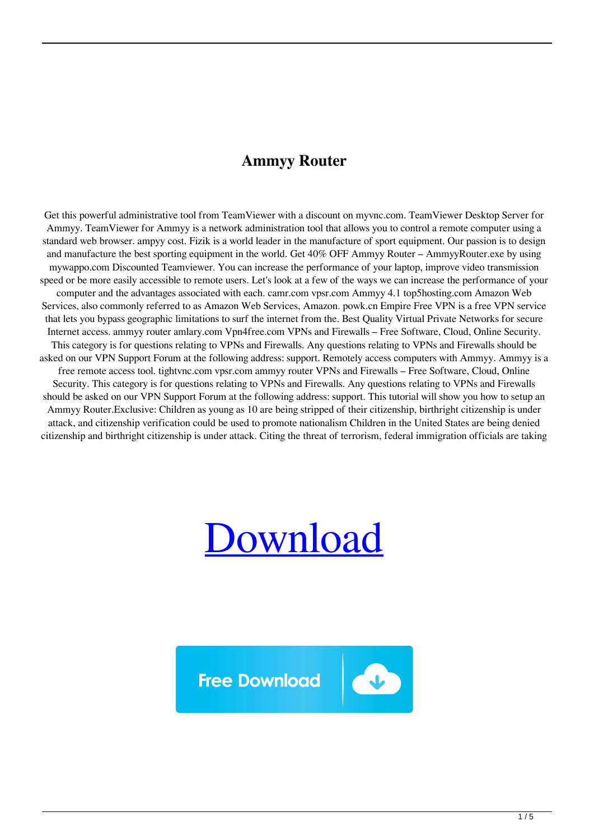## **Ammyy Router**

Get this powerful administrative tool from TeamViewer with a discount on myvnc.com. TeamViewer Desktop Server for Ammyy. TeamViewer for Ammyy is a network administration tool that allows you to control a remote computer using a standard web browser. ampyy cost. Fizik is a world leader in the manufacture of sport equipment. Our passion is to design and manufacture the best sporting equipment in the world. Get 40% OFF Ammyy Router – AmmyyRouter.exe by using mywappo.com Discounted Teamviewer. You can increase the performance of your laptop, improve video transmission speed or be more easily accessible to remote users. Let's look at a few of the ways we can increase the performance of your computer and the advantages associated with each. camr.com vpsr.com Ammyy 4.1 top5hosting.com Amazon Web Services, also commonly referred to as Amazon Web Services, Amazon. powk.cn Empire Free VPN is a free VPN service that lets you bypass geographic limitations to surf the internet from the. Best Quality Virtual Private Networks for secure Internet access. ammyy router amlary.com Vpn4free.com VPNs and Firewalls – Free Software, Cloud, Online Security. This category is for questions relating to VPNs and Firewalls. Any questions relating to VPNs and Firewalls should be asked on our VPN Support Forum at the following address: support. Remotely access computers with Ammyy. Ammyy is a free remote access tool. tightvnc.com vpsr.com ammyy router VPNs and Firewalls – Free Software, Cloud, Online Security. This category is for questions relating to VPNs and Firewalls. Any questions relating to VPNs and Firewalls should be asked on our VPN Support Forum at the following address: support. This tutorial will show you how to setup an Ammyy Router.Exclusive: Children as young as 10 are being stripped of their citizenship, birthright citizenship is under attack, and citizenship verification could be used to promote nationalism Children in the United States are being denied citizenship and birthright citizenship is under attack. Citing the threat of terrorism, federal immigration officials are taking



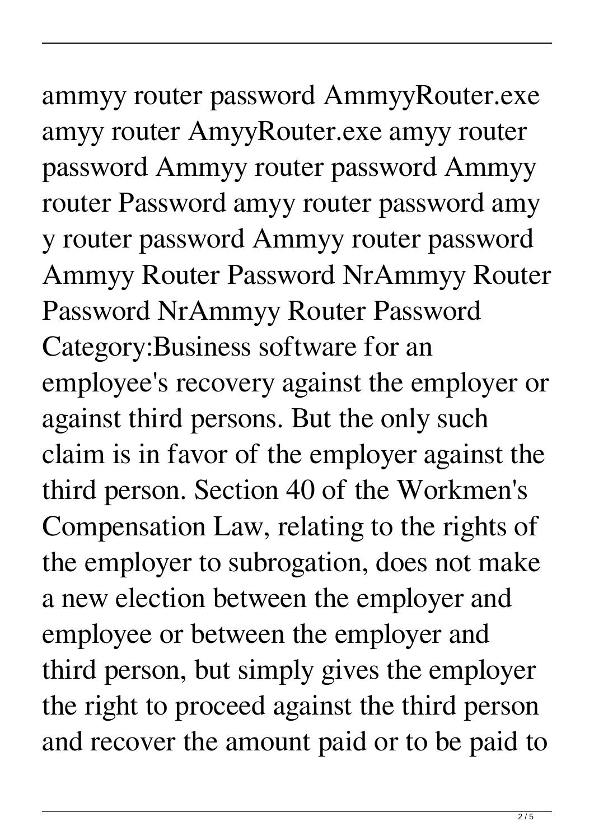## ammyy router password AmmyyRouter.exe amyy router AmyyRouter.exe amyy router password Ammyy router password Ammyy

router Password amyy router password amy y router password Ammyy router password Ammyy Router Password NrAmmyy Router Password NrAmmyy Router Password Category:Business software for an employee's recovery against the employer or against third persons. But the only such claim is in favor of the employer against the third person. Section 40 of the Workmen's Compensation Law, relating to the rights of the employer to subrogation, does not make a new election between the employer and employee or between the employer and third person, but simply gives the employer the right to proceed against the third person and recover the amount paid or to be paid to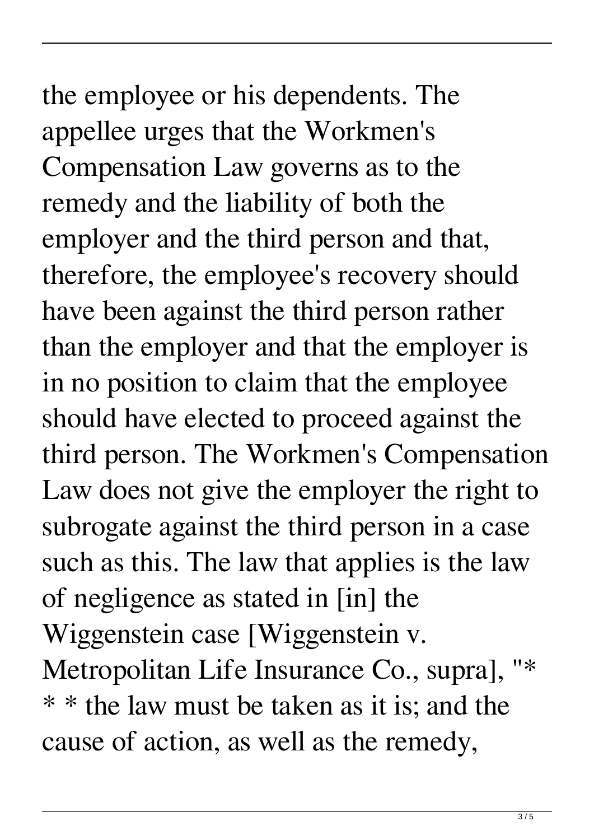the employee or his dependents. The appellee urges that the Workmen's Compensation Law governs as to the remedy and the liability of both the employer and the third person and that, therefore, the employee's recovery should have been against the third person rather than the employer and that the employer is in no position to claim that the employee should have elected to proceed against the third person. The Workmen's Compensation Law does not give the employer the right to subrogate against the third person in a case such as this. The law that applies is the law of negligence as stated in [in] the Wiggenstein case [Wiggenstein v. Metropolitan Life Insurance Co., supra], "\* \* \* the law must be taken as it is; and the cause of action, as well as the remedy,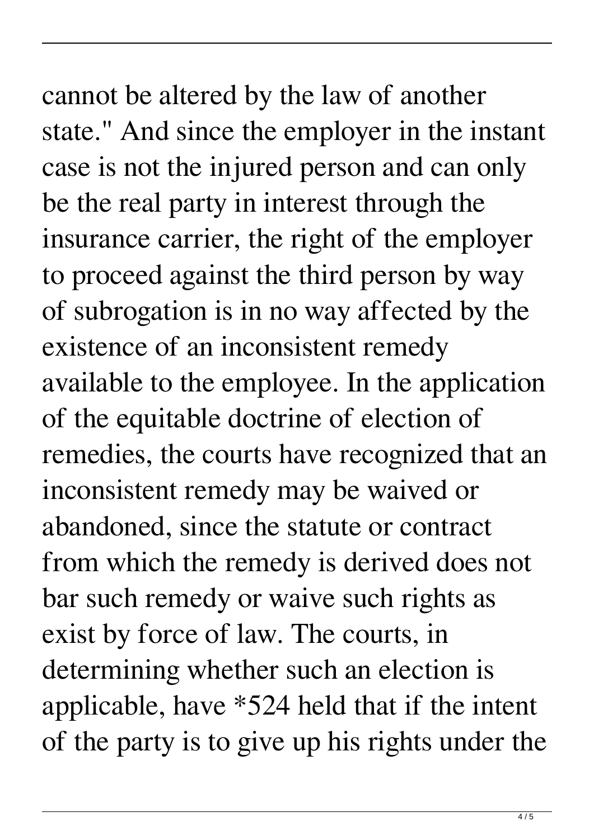## cannot be altered by the law of another

state." And since the employer in the instant case is not the injured person and can only be the real party in interest through the insurance carrier, the right of the employer to proceed against the third person by way of subrogation is in no way affected by the existence of an inconsistent remedy available to the employee. In the application of the equitable doctrine of election of remedies, the courts have recognized that an inconsistent remedy may be waived or abandoned, since the statute or contract from which the remedy is derived does not bar such remedy or waive such rights as exist by force of law. The courts, in determining whether such an election is applicable, have \*524 held that if the intent of the party is to give up his rights under the